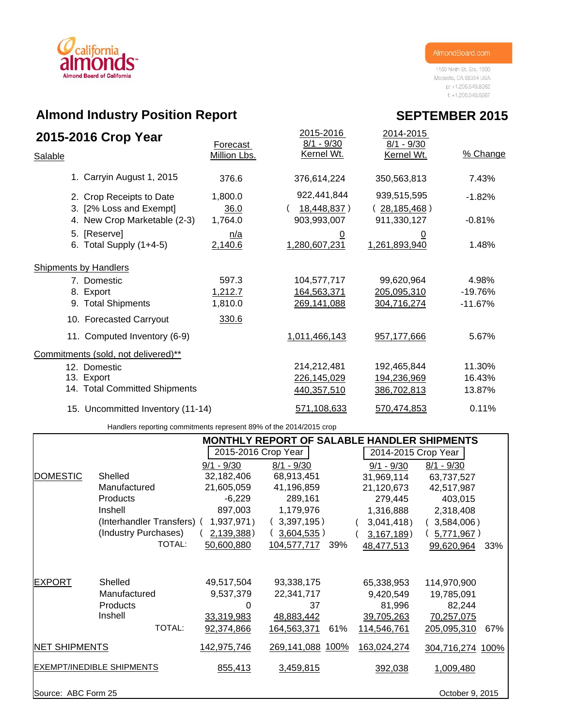

1150 Ninth St. Ste. 1500 Modesto, CA 95354 USA p: +1.209.549.8262  $f: +1.209.549.8267$ 

# **Almond Industry Position Report**

| 2015-2016 Crop Year                                 | Forecast        | 2015-2016<br>$8/1 - 9/30$       | 2014-2015<br>$8/1 - 9/30$  |           |
|-----------------------------------------------------|-----------------|---------------------------------|----------------------------|-----------|
| Salable                                             | Million Lbs.    | Kernel Wt.                      | Kernel Wt.                 | % Change  |
| 1. Carryin August 1, 2015                           | 376.6           | 376,614,224                     | 350,563,813                | 7.43%     |
| 2. Crop Receipts to Date<br>3. [2% Loss and Exempt] | 1,800.0<br>36.0 | 922,441,844<br>18,448,837)      | 939,515,595<br>28,185,468) | $-1.82%$  |
| 4. New Crop Marketable (2-3)                        | 1,764.0         | 903,993,007                     | 911,330,127                | $-0.81%$  |
| 5. [Reserve]<br>6. Total Supply $(1+4-5)$           | n/a<br>2,140.6  | $\overline{0}$<br>1,280,607,231 | <u>0</u><br>1,261,893,940  | 1.48%     |
| <b>Shipments by Handlers</b>                        |                 |                                 |                            |           |
| 7. Domestic                                         | 597.3           | 104,577,717                     | 99,620,964                 | 4.98%     |
| 8. Export                                           | 1,212.7         | 164,563,371                     | 205,095,310                | $-19.76%$ |
| 9. Total Shipments                                  | 1,810.0         | 269,141,088                     | 304,716,274                | $-11.67%$ |
| 10. Forecasted Carryout                             | 330.6           |                                 |                            |           |
| 11. Computed Inventory (6-9)                        |                 | 1,011,466,143                   | 957,177,666                | 5.67%     |
| Commitments (sold, not delivered)**                 |                 |                                 |                            |           |
| 12. Domestic                                        |                 | 214,212,481                     | 192,465,844                | 11.30%    |
| 13. Export                                          |                 | 226,145,029                     | 194,236,969                | 16.43%    |
| 14. Total Committed Shipments                       |                 | 440,357,510                     | 386,702,813                | 13.87%    |
| 15. Uncommitted Inventory (11-14)                   |                 | 571,108,633                     | 570,474,853                | 0.11%     |

Handlers reporting commitments represent 89% of the 2014/2015 crop

|                      |                                  |                     | MONTHLY REPORT OF SALABLE HANDLER SHIPMENTS |                     |                    |
|----------------------|----------------------------------|---------------------|---------------------------------------------|---------------------|--------------------|
|                      |                                  | 2015-2016 Crop Year |                                             | 2014-2015 Crop Year |                    |
|                      |                                  | $9/1 - 9/30$        | $8/1 - 9/30$                                | $9/1 - 9/30$        | $8/1 - 9/30$       |
| <b>DOMESTIC</b>      | Shelled                          | 32,182,406          | 68,913,451                                  | 31,969,114          | 63,737,527         |
|                      | Manufactured                     | 21,605,059          | 41,196,859                                  | 21,120,673          | 42,517,987         |
|                      | Products                         | $-6,229$            | 289,161                                     | 279,445             | 403,015            |
|                      | Inshell                          | 897,003             | 1,179,976                                   | 1,316,888           | 2,318,408          |
|                      | (Interhandler Transfers) (       | 1,937,971)          | 3,397,195)                                  | 3,041,418           | $3,584,006$ )      |
|                      | (Industry Purchases)             | 2,139,388)          | $3,604,535$ )                               | 3,167,189           | 5,771,967          |
|                      | TOTAL:                           | 50,600,880          | 104,577,717<br>39%                          | 48,477,513          | 99,620,964<br>33%  |
|                      |                                  |                     |                                             |                     |                    |
| <b>EXPORT</b>        | Shelled                          | 49,517,504          | 93,338,175                                  | 65,338,953          | 114,970,900        |
|                      | Manufactured                     | 9,537,379           | 22,341,717                                  | 9,420,549           | 19,785,091         |
|                      | <b>Products</b>                  | 0                   | 37                                          | 81,996              | 82,244             |
|                      | Inshell                          | 33,319,983          | 48,883,442                                  | 39,705,263          | 70,257,075         |
|                      | TOTAL:                           | 92,374,866          | 164,563,371<br>61%                          | 114,546,761         | 205,095,310<br>67% |
| <b>NET SHIPMENTS</b> |                                  | 142,975,746         | 269,141,088 100%                            | 163,024,274         | 304,716,274 100%   |
|                      | <b>EXEMPT/INEDIBLE SHIPMENTS</b> | 855,413             | 3,459,815                                   | 392,038             | 1,009,480          |
| Source: ABC Form 25  |                                  |                     |                                             |                     | October 9, 2015    |

## **SEPTEMBER 2015**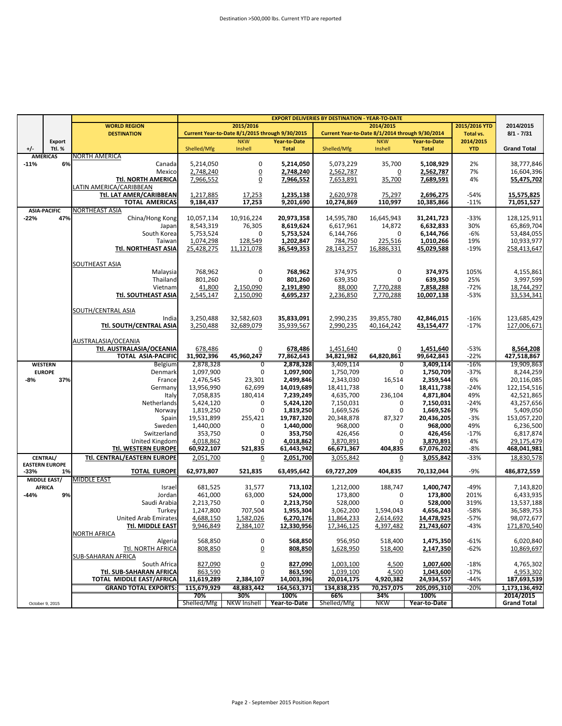|        |                                 |                                                       |                       |                                                 |                        | <b>EXPORT DELIVERIES BY DESTINATION - YEAR-TO-DATE</b> |                                                 |                        |                         |                          |
|--------|---------------------------------|-------------------------------------------------------|-----------------------|-------------------------------------------------|------------------------|--------------------------------------------------------|-------------------------------------------------|------------------------|-------------------------|--------------------------|
|        |                                 | <b>WORLD REGION</b>                                   |                       | 2015/2016                                       |                        |                                                        | 2014/2015                                       |                        | 2015/2016 YTD           | 2014/2015                |
|        |                                 | <b>DESTINATION</b>                                    |                       | Current Year-to-Date 8/1/2015 through 9/30/2015 |                        |                                                        | Current Year-to-Date 8/1/2014 through 9/30/2014 |                        | Total vs.               | $8/1 - 7/31$             |
| $+/-$  | Export<br>Ttl. %                |                                                       |                       | <b>NKW</b><br>Inshell                           | Year-to-Date           |                                                        | <b>NKW</b>                                      | <b>Year-to-Date</b>    | 2014/2015<br><b>YTD</b> | <b>Grand Total</b>       |
|        | <b>AMERICAS</b>                 | <b>NORTH AMERICA</b>                                  | Shelled/Mfg           |                                                 | <b>Total</b>           | Shelled/Mfg                                            | Inshell                                         | <b>Total</b>           |                         |                          |
| $-11%$ | 6%                              | Canada                                                | 5,214,050             | $\mathbf 0$                                     | 5,214,050              | 5,073,229                                              | 35,700                                          | 5,108,929              | 2%                      | 38,777,846               |
|        |                                 | Mexicol                                               | 2,748,240             | <u>0</u>                                        | 2.748.240              | 2,562,787                                              | $\overline{0}$                                  | 2,562,787              | 7%                      | 16,604,396               |
|        |                                 | <b>Ttl. NORTH AMERICA</b>                             | 7,966,552             | $\overline{0}$                                  | 7,966,552              | 7,653,891                                              | 35,700                                          | 7,689,591              | 4%                      | 55,475,702               |
|        |                                 | LATIN AMERICA/CARIBBEAN                               |                       |                                                 |                        |                                                        |                                                 |                        |                         |                          |
|        |                                 | Ttl. LAT AMER/CARIBBEAN                               | 1,217,885             | 17,253                                          | 1,235,138              | 2,620,978                                              | 75,297                                          | 2,696,275              | $-54%$                  | 15,575,825               |
|        |                                 | <b>TOTAL AMERICAS</b>                                 | 9,184,437             | 17,253                                          | 9,201,690              | 10,274,869                                             | 110,997                                         | 10,385,866             | $-11%$                  | 71,051,527               |
|        | <b>ASIA-PACIFIC</b>             | NORTHEAST ASIA                                        |                       |                                                 |                        |                                                        |                                                 |                        |                         |                          |
| $-22%$ | 47%                             | China/Hong Kong                                       | 10,057,134            | 10,916,224                                      | 20,973,358             | 14,595,780                                             | 16,645,943                                      | 31,241,723             | $-33%$                  | 128,125,911              |
|        |                                 | Japan                                                 | 8,543,319             | 76,305                                          | 8,619,624              | 6,617,961                                              | 14,872                                          | 6,632,833              | 30%                     | 65,869,704               |
|        |                                 | South Korea                                           | 5,753,524             | 0                                               | 5,753,524              | 6,144,766                                              | 0                                               | 6,144,766              | -6%                     | 53,484,055               |
|        |                                 | Taiwan                                                | 1,074,298             | 128,549                                         | 1,202,847              | 784,750                                                | 225,516                                         | 1,010,266              | 19%                     | 10,933,977               |
|        |                                 | Ttl. NORTHEAST ASIA                                   | 25,428,275            | 11,121,078                                      | 36,549,353             | 28.143.257                                             | 16,886,331                                      | 45,029,588             | $-19%$                  | 258.413.647              |
|        |                                 |                                                       |                       |                                                 |                        |                                                        |                                                 |                        |                         |                          |
|        |                                 | SOUTHEAST ASIA                                        |                       |                                                 |                        |                                                        |                                                 |                        |                         |                          |
|        |                                 | Malaysia                                              | 768,962               | 0                                               | 768,962                | 374,975                                                | 0                                               | 374,975                | 105%                    | 4,155,861                |
|        |                                 | Thailand                                              | 801,260               | 0                                               | 801,260                | 639,350                                                | 0                                               | 639,350                | 25%                     | 3,997,599                |
|        |                                 | Vietnam                                               | 41,800                | 2,150,090                                       | 2,191,890              | 88,000                                                 | 7,770,288                                       | 7,858,288              | $-72%$                  | 18,744,297               |
|        |                                 | Ttl. SOUTHEAST ASIA                                   | 2,545,147             | 2,150,090                                       | 4,695,237              | 2,236,850                                              | 7,770,288                                       | 10,007,138             | $-53%$                  | 33,534,341               |
|        |                                 |                                                       |                       |                                                 |                        |                                                        |                                                 |                        |                         |                          |
|        |                                 | SOUTH/CENTRAL ASIA                                    |                       |                                                 |                        |                                                        |                                                 |                        |                         |                          |
|        |                                 | India                                                 | 3,250,488             | 32,582,603                                      | 35,833,091             | 2,990,235                                              | 39,855,780                                      | 42,846,015             | $-16%$                  | 123,685,429              |
|        |                                 | <b>Ttl. SOUTH/CENTRAL ASIA</b>                        | 3.250.488             | 32,689,079                                      | 35.939.567             | 2,990,235                                              | 40,164,242                                      | 43,154,477             | $-17%$                  | 127,006,671              |
|        |                                 |                                                       |                       |                                                 |                        |                                                        |                                                 |                        |                         |                          |
|        |                                 | AUSTRALASIA/OCEANIA                                   |                       |                                                 |                        |                                                        |                                                 |                        |                         |                          |
|        |                                 | Ttl. AUSTRALASIA/OCEANIA<br><b>TOTAL ASIA-PACIFIC</b> | 678,486<br>31,902,396 | 0<br>45,960,247                                 | 678,486                | 1,451,640<br>34,821,982                                | $\overline{0}$<br>64,820,861                    | 1,451,640              | $-53%$<br>$-22%$        | 8,564,208<br>427,518,867 |
|        |                                 |                                                       | 2,878,328             | $\overline{0}$                                  | 77,862,643             |                                                        | $\overline{0}$                                  | 99,642,843             | $-16%$                  | 19,909,863               |
|        | <b>WESTERN</b><br><b>EUROPE</b> | Belgium<br>Denmark                                    | 1,097,900             | 0                                               | 2,878,328<br>1,097,900 | 3,409,114<br>1,750,709                                 | 0                                               | 3,409,114<br>1,750,709 | $-37%$                  | 8,244,259                |
| $-8%$  | 37%                             | France                                                | 2,476,545             | 23,301                                          | 2,499,846              | 2,343,030                                              | 16,514                                          | 2,359,544              | 6%                      | 20,116,085               |
|        |                                 | Germany                                               | 13,956,990            | 62,699                                          | 14,019,689             | 18,411,738                                             | 0                                               | 18,411,738             | $-24%$                  | 122,154,516              |
|        |                                 | Italy                                                 | 7,058,835             | 180,414                                         | 7,239,249              | 4,635,700                                              | 236,104                                         | 4,871,804              | 49%                     | 42,521,865               |
|        |                                 | Netherlands                                           | 5,424,120             | 0                                               | 5,424,120              | 7,150,031                                              | 0                                               | 7,150,031              | $-24%$                  | 43,257,656               |
|        |                                 | Norway                                                | 1,819,250             | 0                                               | 1,819,250              | 1,669,526                                              | 0                                               | 1,669,526              | 9%                      | 5,409,050                |
|        |                                 | Spain                                                 | 19,531,899            | 255,421                                         | 19,787,320             | 20,348,878                                             | 87,327                                          | 20,436,205             | $-3%$                   | 153,057,220              |
|        |                                 | Sweden                                                | 1,440,000             | 0                                               | 1,440,000              | 968,000                                                | 0                                               | 968,000                | 49%                     | 6,236,500                |
|        |                                 | Switzerland                                           | 353,750               | 0                                               | 353,750                | 426,456                                                | 0                                               | 426,456                | $-17%$                  | 6,817,874                |
|        |                                 | United Kingdom                                        | 4,018,862             | 0                                               | 4,018,862              | 3,870,891                                              | 0                                               | 3,870,891              | 4%                      | 29,175,479               |
|        |                                 | <b>Ttl. WESTERN EUROPE</b>                            | 60,922,107            | 521,835                                         | 61,443,942             | 66,671,367                                             | 404,835                                         | 67,076,202             | $-8%$                   | 468,041,981              |
|        | CENTRAL/                        | Ttl. CENTRAL/EASTERN EUROPE                           | 2,051,700             | 0                                               | 2,051,700              | 3,055,842                                              | 0                                               | 3,055,842              | $-33%$                  | 18,830,578               |
|        | <b>EASTERN EUROPE</b>           |                                                       |                       |                                                 |                        |                                                        |                                                 |                        |                         |                          |
| -33%   | 1%                              | <b>TOTAL EUROPE</b>                                   | 62,973,807            | 521,835                                         | 63,495,642             | 69,727,209                                             | 404,835                                         | 70,132,044             | $-9%$                   | 486,872,559              |
|        | MIDDLE EAST/                    | <b>MIDDLE EAST</b>                                    |                       |                                                 |                        |                                                        |                                                 |                        |                         |                          |
|        | <b>AFRICA</b>                   | Israel                                                | 681,525               | 31,577                                          | 713,102                | 1,212,000                                              | 188,747                                         | 1,400,747              | $-49%$                  | 7,143,820                |
| -44%   | 9%                              | Jordan                                                | 461,000               | 63,000                                          | 524,000                | 173,800                                                | 0                                               | 173,800                | 201%                    | 6,433,935                |
|        |                                 | Saudi Arabia                                          | 2,213,750             | 0                                               | 2,213,750              | 528,000                                                | $\mathbf 0$                                     | 528,000                | 319%                    | 13,537,188               |
|        |                                 | Turkey                                                | 1,247,800             | 707,504                                         | 1,955,304              | 3,062,200                                              | 1,594,043                                       | 4,656,243              | $-58%$                  | 36,589,753               |
|        |                                 | <b>United Arab Emirates</b>                           | 4,688,150             | 1,582,026                                       | 6,270,176              | 11,864,233                                             | 2,614,692                                       | 14,478,925             | $-57%$                  | 98,072,677               |
|        |                                 | <b>Ttl. MIDDLE EAST</b>                               | 9.946.849             | 2.384.107                                       | 12.330.956             | 17.346.125                                             | 4.397.482                                       | 21.743.607             | $-43%$                  | 171.870.540              |
|        |                                 | NORTH AFRICA                                          |                       |                                                 |                        |                                                        |                                                 |                        |                         |                          |
|        |                                 | Algeria                                               | 568,850               | 0                                               | 568,850                | 956,950                                                | 518,400                                         | 1,475,350              | -61%                    | 6,020,840                |
|        |                                 | Ttl. NORTH AFRICA                                     | 808,850               | 0                                               | 808,850                | 1,628,950                                              | 518,400                                         | 2,147,350              | $-62%$                  | 10,869,697               |
|        |                                 | SUB-SAHARAN AFRICA                                    |                       |                                                 |                        |                                                        |                                                 |                        |                         |                          |
|        |                                 | South Africa                                          | 827,090               | $\overline{0}$                                  | 827,090                | 1,003,100                                              | 4,500                                           | 1,007,600              | $-18%$                  | 4,765,302                |
|        |                                 | Ttl. SUB-SAHARAN AFRICA<br>TOTAL MIDDLE EAST/AFRICA   | 863,590               | 0                                               | 863,590                | 1,039,100                                              | 4,500                                           | 1,043,600              | $-17%$<br>$-44%$        | 4,953,302                |
|        |                                 |                                                       | 11,619,289            | 2,384,107                                       | 14,003,396             | 20,014,175                                             | 4,920,382                                       | 24,934,557             |                         | 187,693,539              |
|        |                                 | <b>GRAND TOTAL EXPORTS:</b>                           | 115,679,929           | 48,883,442                                      | 164,563,371            | 134,838,235                                            | 70,257,075                                      | 205,095,310            | $-20%$                  | 1,173,136,492            |
|        |                                 |                                                       | 70%                   | 30%                                             | 100%                   | 66%                                                    | 34%                                             | 100%                   |                         | 2014/2015                |
|        | October 9, 2015                 |                                                       | Shelled/Mfg           | <b>NKW Inshell</b>                              | Year-to-Date           | Shelled/Mfg                                            | <b>NKW</b>                                      | Year-to-Date           |                         | <b>Grand Total</b>       |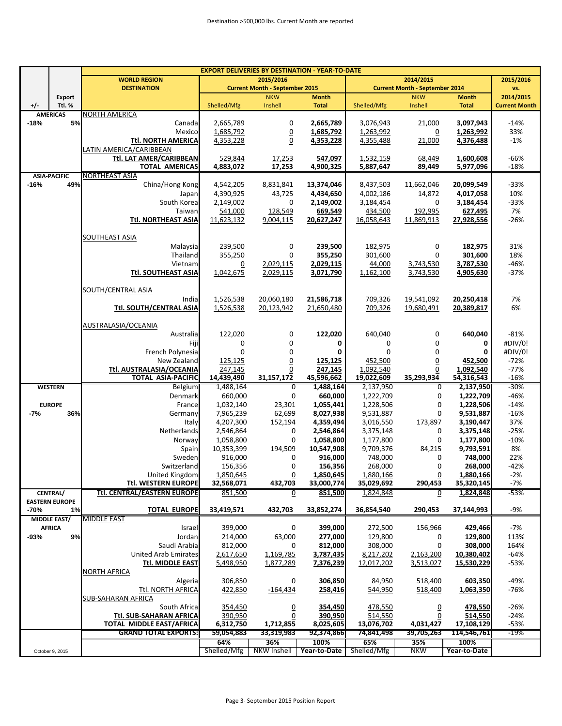|        |                       | <b>EXPORT DELIVERIES BY DESTINATION - YEAR-TO-DATE</b> |                |                                                    |              |             |                                                    |              |                      |  |
|--------|-----------------------|--------------------------------------------------------|----------------|----------------------------------------------------|--------------|-------------|----------------------------------------------------|--------------|----------------------|--|
|        |                       | <b>WORLD REGION</b>                                    |                |                                                    | 2015/2016    |             |                                                    |              |                      |  |
|        |                       | <b>DESTINATION</b>                                     |                | 2015/2016<br><b>Current Month - September 2015</b> |              |             | 2014/2015<br><b>Current Month - September 2014</b> |              | vs.                  |  |
|        | Export                |                                                        |                | <b>NKW</b>                                         | <b>Month</b> |             | <b>NKW</b>                                         | <b>Month</b> | 2014/2015            |  |
| +/-    | Ttl. %                |                                                        | Shelled/Mfg    | Inshell                                            | <b>Total</b> | Shelled/Mfg | Inshell                                            | <b>Total</b> | <b>Current Month</b> |  |
|        | <b>AMERICAS</b>       | <b>NORTH AMERICA</b>                                   |                |                                                    |              |             |                                                    |              |                      |  |
| $-18%$ | 5%                    | Canada                                                 | 2,665,789      | 0                                                  | 2,665,789    | 3,076,943   | 21,000                                             | 3,097,943    | $-14%$               |  |
|        |                       |                                                        |                |                                                    |              |             |                                                    |              |                      |  |
|        |                       | Mexico                                                 | 1,685,792      | $\underline{0}$                                    | 1,685,792    | 1,263,992   | $\overline{0}$                                     | 1,263,992    | 33%                  |  |
|        |                       | Ttl. NORTH AMERICA                                     | 4,353,228      | $\overline{0}$                                     | 4,353,228    | 4,355,488   | 21,000                                             | 4,376,488    | $-1%$                |  |
|        |                       | LATIN AMERICA/CARIBBEAN                                |                |                                                    |              |             |                                                    |              |                      |  |
|        |                       | Ttl. LAT AMER/CARIBBEAN                                | 529,844        | 17,253                                             | 547,097      | 1,532,159   | 68,449                                             | 1,600,608    | $-66%$               |  |
|        |                       | <b>TOTAL AMERICAS</b>                                  | 4.883.072      | 17,253                                             | 4,900,325    | 5,887,647   | 89,449                                             | 5,977,096    | $-18%$               |  |
|        | <b>ASIA-PACIFIC</b>   | NORTHEAST ASIA                                         |                |                                                    |              |             |                                                    |              |                      |  |
| $-16%$ | 49%                   | China/Hong Kong                                        | 4,542,205      | 8,831,841                                          | 13,374,046   | 8,437,503   | 11,662,046                                         | 20,099,549   | $-33%$               |  |
|        |                       | Japan                                                  | 4,390,925      | 43,725                                             | 4,434,650    | 4,002,186   | 14,872                                             | 4,017,058    | 10%                  |  |
|        |                       | South Korea                                            | 2,149,002      | 0                                                  | 2,149,002    |             | $\mathbf 0$                                        |              | $-33%$               |  |
|        |                       |                                                        |                |                                                    |              | 3,184,454   |                                                    | 3,184,454    |                      |  |
|        |                       | Taiwan                                                 | 541,000        | 128,549                                            | 669,549      | 434,500     | 192,995                                            | 627,495      | 7%                   |  |
|        |                       | Ttl. NORTHEAST ASIA                                    | 11,623,132     | 9,004,115                                          | 20,627,247   | 16,058,643  | 11,869,913                                         | 27,928,556   | $-26%$               |  |
|        |                       |                                                        |                |                                                    |              |             |                                                    |              |                      |  |
|        |                       | SOUTHEAST ASIA                                         |                |                                                    |              |             |                                                    |              |                      |  |
|        |                       | Malaysia                                               | 239,500        | $\pmb{0}$                                          | 239,500      | 182,975     | $\boldsymbol{0}$                                   | 182,975      | 31%                  |  |
|        |                       | Thailand                                               | 355,250        | 0                                                  | 355,250      | 301,600     | $\mathbf 0$                                        | 301,600      | 18%                  |  |
|        |                       | Vietnam                                                | $\overline{0}$ | 2,029,115                                          | 2,029,115    | 44,000      | 3,743,530                                          | 3,787,530    | $-46%$               |  |
|        |                       | Ttl. SOUTHEAST ASIA                                    | 1,042,675      | 2,029,115                                          | 3,071,790    |             | 3,743,530                                          | 4,905,630    | $-37%$               |  |
|        |                       |                                                        |                |                                                    |              | 1,162,100   |                                                    |              |                      |  |
|        |                       |                                                        |                |                                                    |              |             |                                                    |              |                      |  |
|        |                       | SOUTH/CENTRAL ASIA                                     |                |                                                    |              |             |                                                    |              |                      |  |
|        |                       | India                                                  | 1,526,538      | 20,060,180                                         | 21,586,718   | 709,326     | 19,541,092                                         | 20,250,418   | 7%                   |  |
|        |                       | Ttl. SOUTH/CENTRAL ASIA                                | 1,526,538      | 20,123,942                                         | 21,650,480   | 709,326     | 19,680,491                                         | 20,389,817   | 6%                   |  |
|        |                       |                                                        |                |                                                    |              |             |                                                    |              |                      |  |
|        |                       | AUSTRALASIA/OCEANIA                                    |                |                                                    |              |             |                                                    |              |                      |  |
|        |                       | Australia                                              | 122,020        | 0                                                  | 122,020      | 640,040     | 0                                                  | 640,040      | $-81%$               |  |
|        |                       | Fiji                                                   | 0              | $\mathbf 0$                                        | 0            | 0           | 0                                                  | 0            | #DIV/0!              |  |
|        |                       | French Polynesia                                       | $\mathbf 0$    | $\mathbf 0$                                        | 0            | 0           | 0                                                  | 0            | #DIV/0!              |  |
|        |                       |                                                        |                |                                                    |              |             |                                                    |              |                      |  |
|        |                       | New Zealand                                            | 125,125        | $\underline{0}$                                    | 125,125      | 452,500     | $\underline{0}$                                    | 452,500      | $-72%$               |  |
|        |                       | Ttl. AUSTRALASIA/OCEANIA                               | 247,145        | 0                                                  | 247,145      | 1,092,540   | $\overline{0}$                                     | 1,092,540    | $-77%$               |  |
|        |                       | <b>TOTAL ASIA-PACIFIC</b>                              | 14,439,490     | 31,157,172                                         | 45,596,662   | 19,022,609  | 35,293,934                                         | 54,316,543   | $-16%$               |  |
|        | <b>WESTERN</b>        | <b>Belgium</b>                                         | 1,488,164      | 0                                                  | 1,488,164    | 2,137,950   | 0                                                  | 2,137,950    | $-30%$               |  |
|        |                       | Denmark                                                | 660,000        | 0                                                  | 660,000      | 1,222,709   | 0                                                  | 1,222,709    | $-46%$               |  |
|        | <b>EUROPE</b>         | France                                                 | 1,032,140      | 23,301                                             | 1,055,441    | 1,228,506   | 0                                                  | 1,228,506    | $-14%$               |  |
| $-7%$  | 36%                   | Germany                                                | 7,965,239      | 62,699                                             | 8,027,938    | 9,531,887   | 0                                                  | 9,531,887    | $-16%$               |  |
|        |                       | Italy                                                  | 4,207,300      | 152,194                                            | 4,359,494    | 3,016,550   | 173,897                                            | 3,190,447    | 37%                  |  |
|        |                       | Netherlands                                            | 2,546,864      | 0                                                  | 2,546,864    | 3,375,148   | 0                                                  | 3,375,148    | $-25%$               |  |
|        |                       | Norway                                                 | 1,058,800      | 0                                                  | 1,058,800    | 1,177,800   | 0                                                  | 1,177,800    | $-10%$               |  |
|        |                       |                                                        | 10,353,399     | 194,509                                            | 10,547,908   | 9,709,376   | 84,215                                             | 9,793,591    | 8%                   |  |
|        |                       | Spain                                                  | 916,000        |                                                    |              |             | 0                                                  |              |                      |  |
|        |                       | Sweden                                                 |                | 0                                                  | 916,000      | 748,000     |                                                    | 748,000      | 22%                  |  |
|        |                       | Switzerland                                            | 156,356        | 0                                                  | 156,356      | 268,000     | 0                                                  | 268,000      | $-42%$               |  |
|        |                       | United Kingdom                                         | 1.850.645      | 0                                                  | 1.850.645    | 1.880.166   | 0                                                  | 1.880.166    | $-2%$                |  |
|        |                       | Ttl. WESTERN EUROPE                                    | 32,568,071     | 432,703                                            | 33,000,774   | 35,029,692  | 290,453                                            | 35,320,145   | -7%                  |  |
|        | CENTRAL/              | <b>Ttl. CENTRAL/EASTERN EUROPE</b>                     | 851,500        | 0                                                  | 851,500      | 1,824,848   | 0                                                  | 1,824,848    | $-53%$               |  |
|        | <b>EASTERN EUROPE</b> |                                                        |                |                                                    |              |             |                                                    |              |                      |  |
| -70%   | 1%                    | <b>TOTAL EUROPE</b>                                    | 33,419,571     | 432,703                                            | 33,852,274   | 36,854,540  | 290,453                                            | 37,144,993   | $-9%$                |  |
|        | <b>MIDDLE EAST/</b>   | <b>MIDDLE EAST</b>                                     |                |                                                    |              |             |                                                    |              |                      |  |
|        | <b>AFRICA</b>         | Israel                                                 | 399,000        | 0                                                  | 399,000      | 272,500     | 156,966                                            | 429,466      | -7%                  |  |
| $-93%$ | 9%                    | Jordan                                                 | 214,000        | 63,000                                             | 277,000      | 129,800     | 0                                                  | 129,800      | 113%                 |  |
|        |                       | Saudi Arabia                                           | 812,000        | 0                                                  | 812,000      | 308,000     | 0                                                  | 308,000      | 164%                 |  |
|        |                       |                                                        |                |                                                    |              |             |                                                    |              |                      |  |
|        |                       | <b>United Arab Emirates</b>                            | 2,617,650      | 1,169,785                                          | 3,787,435    | 8,217,202   | 2,163,200                                          | 10,380,402   | $-64%$               |  |
|        |                       | Ttl. MIDDLE EAST                                       | 5,498,950      | 1,877,289                                          | 7,376,239    | 12,017,202  | 3,513,027                                          | 15,530,229   | $-53%$               |  |
|        |                       | NORTH AFRICA                                           |                |                                                    |              |             |                                                    |              |                      |  |
|        |                       | Algeria                                                | 306,850        | 0                                                  | 306,850      | 84,950      | 518,400                                            | 603,350      | $-49%$               |  |
|        |                       | Ttl. NORTH AFRICA                                      | 422,850        | $-164,434$                                         | 258,416      | 544,950     | 518,400                                            | 1,063,350    | -76%                 |  |
|        |                       | SUB-SAHARAN AFRICA                                     |                |                                                    |              |             |                                                    |              |                      |  |
|        |                       | South Africa                                           | 354,450        | $\overline{0}$                                     | 354,450      | 478,550     | $\overline{0}$                                     | 478,550      | $-26%$               |  |
|        |                       | Ttl. SUB-SAHARAN AFRICA                                | 390,950        | $\underline{0}$                                    | 390,950      | 514,550     | 0                                                  | 514,550      | $-24%$               |  |
|        |                       | TOTAL MIDDLE EAST/AFRICA                               | 6,312,750      | 1,712,855                                          | 8,025,605    | 13,076,702  | 4,031,427                                          | 17,108,129   | $-53%$               |  |
|        |                       | <b>GRAND TOTAL EXPORTS:</b>                            |                |                                                    |              |             |                                                    |              | $-19%$               |  |
|        |                       |                                                        | 59,054,883     | 33,319,983                                         | 92,374,866   | 74,841,498  | 39,705,263                                         | 114,546,761  |                      |  |
|        |                       |                                                        | 64%            | 36%                                                | 100%         | 65%         | 35%                                                | 100%         |                      |  |
|        | October 9, 2015       |                                                        | Shelled/Mfg    | <b>NKW Inshell</b>                                 | Year-to-Date | Shelled/Mfg | <b>NKW</b>                                         | Year-to-Date |                      |  |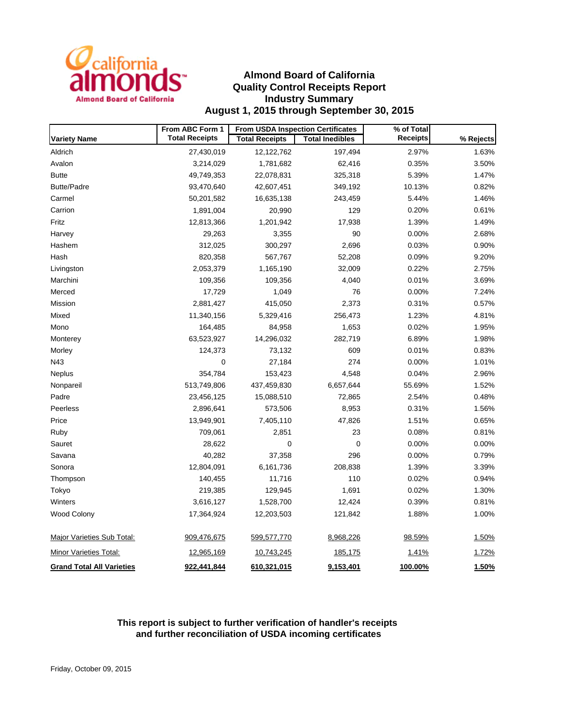

## **Almond Board of California Quality Control Receipts Report Industry Summary August 1, 2015 through September 30, 2015**

|                                   | From ABC Form 1       | <b>From USDA Inspection Certificates</b> |                        | % of Total      |              |  |
|-----------------------------------|-----------------------|------------------------------------------|------------------------|-----------------|--------------|--|
| <b>Variety Name</b>               | <b>Total Receipts</b> | <b>Total Receipts</b>                    | <b>Total Inedibles</b> | <b>Receipts</b> | % Rejects    |  |
| Aldrich                           | 27,430,019            | 12,122,762                               | 197,494                | 2.97%           | 1.63%        |  |
| Avalon                            | 3,214,029             | 1,781,682                                | 62,416                 | 0.35%           | 3.50%        |  |
| <b>Butte</b>                      | 49,749,353            | 22,078,831                               | 325,318                | 5.39%           | 1.47%        |  |
| <b>Butte/Padre</b>                | 93,470,640            | 42,607,451                               | 349,192                | 10.13%          | 0.82%        |  |
| Carmel                            | 50,201,582            | 16,635,138                               | 243,459                | 5.44%           | 1.46%        |  |
| Carrion                           | 1,891,004             | 20,990                                   | 129                    | 0.20%           | 0.61%        |  |
| Fritz                             | 12,813,366            | 1,201,942                                | 17,938                 | 1.39%           | 1.49%        |  |
| Harvey                            | 29,263                | 3,355                                    | 90                     | 0.00%           | 2.68%        |  |
| Hashem                            | 312,025               | 300,297                                  | 2,696                  | 0.03%           | 0.90%        |  |
| Hash                              | 820,358               | 567,767                                  | 52,208                 | 0.09%           | 9.20%        |  |
| Livingston                        | 2,053,379             | 1,165,190                                | 32,009                 | 0.22%           | 2.75%        |  |
| Marchini                          | 109,356               | 109,356                                  | 4,040                  | 0.01%           | 3.69%        |  |
| Merced                            | 17,729                | 1,049                                    | 76                     | 0.00%           | 7.24%        |  |
| Mission                           | 2,881,427             | 415,050                                  | 2,373                  | 0.31%           | 0.57%        |  |
| Mixed                             | 11,340,156            | 5,329,416                                | 256,473                | 1.23%           | 4.81%        |  |
| Mono                              | 164,485               | 84,958                                   | 1,653                  | 0.02%           | 1.95%        |  |
| Monterey                          | 63,523,927            | 14,296,032                               | 282,719                | 6.89%           | 1.98%        |  |
| Morley                            | 124,373               | 73,132                                   | 609                    | 0.01%           | 0.83%        |  |
| N43                               | 0                     | 27,184                                   | 274                    | 0.00%           | 1.01%        |  |
| <b>Neplus</b>                     | 354,784               | 153,423                                  | 4,548                  | 0.04%           | 2.96%        |  |
| Nonpareil                         | 513,749,806           | 437,459,830                              | 6,657,644              | 55.69%          | 1.52%        |  |
| Padre                             | 23,456,125            | 15,088,510                               | 72,865                 | 2.54%           | 0.48%        |  |
| Peerless                          | 2,896,641             | 573,506                                  | 8,953                  | 0.31%           | 1.56%        |  |
| Price                             | 13,949,901            | 7,405,110                                | 47,826                 | 1.51%           | 0.65%        |  |
| Ruby                              | 709,061               | 2,851                                    | 23                     | 0.08%           | 0.81%        |  |
| Sauret                            | 28,622                | 0                                        | $\mathbf 0$            | 0.00%           | 0.00%        |  |
| Savana                            | 40,282                | 37,358                                   | 296                    | 0.00%           | 0.79%        |  |
| Sonora                            | 12,804,091            | 6,161,736                                | 208,838                | 1.39%           | 3.39%        |  |
| Thompson                          | 140,455               | 11,716                                   | 110                    | 0.02%           | 0.94%        |  |
| Tokyo                             | 219,385               | 129,945                                  | 1,691                  | 0.02%           | 1.30%        |  |
| Winters                           | 3,616,127             | 1,528,700                                | 12,424                 | 0.39%           | 0.81%        |  |
| Wood Colony                       | 17,364,924            | 12,203,503                               | 121,842                | 1.88%           | 1.00%        |  |
| <b>Major Varieties Sub Total:</b> | 909,476,675           | 599,577,770                              | 8,968,226              | 98.59%          | 1.50%        |  |
| Minor Varieties Total:            | 12,965,169            | 10,743,245                               | 185,175                | <u>1.41%</u>    | <u>1.72%</u> |  |
| <b>Grand Total All Varieties</b>  | 922,441,844           | 610,321,015                              | 9,153,401              | 100.00%         | 1.50%        |  |

### **This report is subject to further verification of handler's receipts and further reconciliation of USDA incoming certificates**